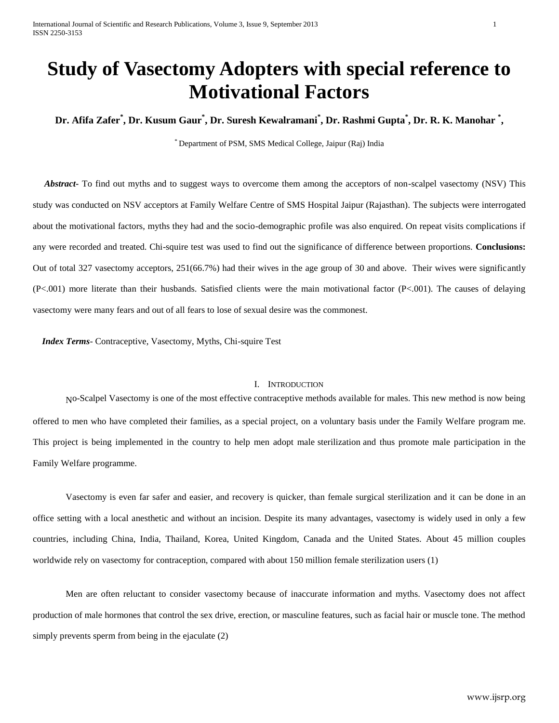# **Study of Vasectomy Adopters with special reference to Motivational Factors**

**Dr. Afifa Zafer\* , Dr. Kusum Gaur\* , Dr. Suresh Kewalramani\* , Dr. Rashmi Gupta\* , Dr. R. K. Manohar \* ,**

\* Department of PSM, SMS Medical College, Jaipur (Raj) India

 *Abstract***-** To find out myths and to suggest ways to overcome them among the acceptors of non-scalpel vasectomy (NSV) This study was conducted on NSV acceptors at Family Welfare Centre of SMS Hospital Jaipur (Rajasthan). The subjects were interrogated about the motivational factors, myths they had and the socio-demographic profile was also enquired. On repeat visits complications if any were recorded and treated. Chi-squire test was used to find out the significance of difference between proportions. **Conclusions:** Out of total 327 vasectomy acceptors, 251(66.7%) had their wives in the age group of 30 and above. Their wives were significantly (P<.001) more literate than their husbands. Satisfied clients were the main motivational factor (P<.001). The causes of delaying vasectomy were many fears and out of all fears to lose of sexual desire was the commonest.

 *Index Terms*- Contraceptive, Vasectomy, Myths, Chi-squire Test

## I. INTRODUCTION

No-Scalpel Vasectomy is one of the most effective contraceptive methods available for males. This new method is now being offered to men who have completed their families, as a special project, on a voluntary basis under the Family Welfare program me. This project is being implemented in the country to help men adopt male sterilization and thus promote male participation in the Family Welfare programme.

Vasectomy is even far safer and easier, and recovery is quicker, than female surgical sterilization and it can be done in an office setting with a local anesthetic and without an incision. Despite its many advantages, vasectomy is widely used in only a few countries, including China, India, Thailand, Korea, United Kingdom, Canada and the United States. About 45 million couples worldwide rely on vasectomy for contraception, compared with about 150 million female sterilization users (1)

Men are often reluctant to consider vasectomy because of inaccurate information and myths. Vasectomy does not affect production of male hormones that control the sex drive, erection, or masculine features, such as facial hair or muscle tone. The method simply prevents sperm from being in the ejaculate (2)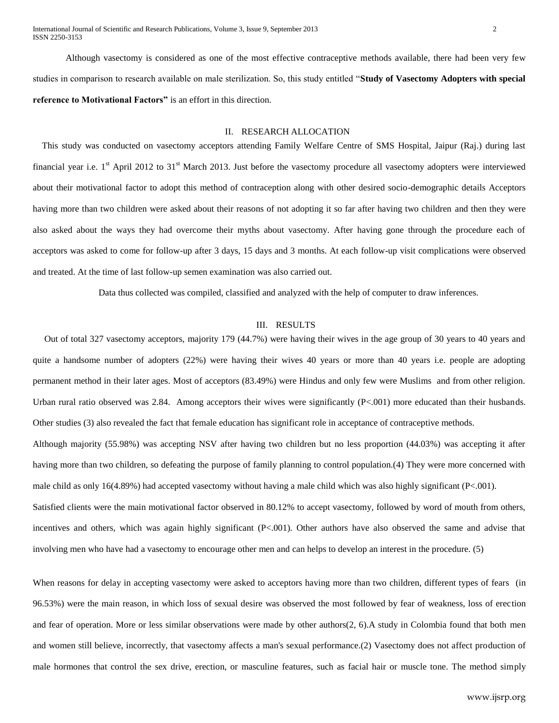International Journal of Scientific and Research Publications, Volume 3, Issue 9, September 2013 2 ISSN 2250-3153

Although vasectomy is considered as one of the most effective contraceptive methods available, there had been very few studies in comparison to research available on male sterilization. So, this study entitled "**Study of Vasectomy Adopters with special reference to Motivational Factors"** is an effort in this direction.

## II. RESEARCH ALLOCATION

 This study was conducted on vasectomy acceptors attending Family Welfare Centre of SMS Hospital, Jaipur (Raj.) during last financial year i.e.  $1<sup>st</sup>$  April 2012 to 31 $<sup>st</sup>$  March 2013. Just before the vasectomy procedure all vasectomy adopters were interviewed</sup> about their motivational factor to adopt this method of contraception along with other desired socio-demographic details Acceptors having more than two children were asked about their reasons of not adopting it so far after having two children and then they were also asked about the ways they had overcome their myths about vasectomy. After having gone through the procedure each of acceptors was asked to come for follow-up after 3 days, 15 days and 3 months. At each follow-up visit complications were observed and treated. At the time of last follow-up semen examination was also carried out.

Data thus collected was compiled, classified and analyzed with the help of computer to draw inferences.

#### III. RESULTS

 Out of total 327 vasectomy acceptors, majority 179 (44.7%) were having their wives in the age group of 30 years to 40 years and quite a handsome number of adopters (22%) were having their wives 40 years or more than 40 years i.e. people are adopting permanent method in their later ages. Most of acceptors (83.49%) were Hindus and only few were Muslims and from other religion. Urban rural ratio observed was 2.84. Among acceptors their wives were significantly (P<.001) more educated than their husbands. Other studies (3) also revealed the fact that female education has significant role in acceptance of contraceptive methods. Although majority (55.98%) was accepting NSV after having two children but no less proportion (44.03%) was accepting it after having more than two children, so defeating the purpose of family planning to control population.(4) They were more concerned with male child as only 16(4.89%) had accepted vasectomy without having a male child which was also highly significant (P<.001).

Satisfied clients were the main motivational factor observed in 80.12% to accept vasectomy, followed by word of mouth from others, incentives and others, which was again highly significant (P<.001). Other authors have also observed the same and advise that involving men who have had a vasectomy to encourage other men and can helps to develop an interest in the procedure. (5)

When reasons for delay in accepting vasectomy were asked to acceptors having more than two children, different types of fears (in 96.53%) were the main reason, in which loss of sexual desire was observed the most followed by fear of weakness, loss of erection and fear of operation. More or less similar observations were made by other authors(2, 6).A study in Colombia found that both men and women still believe, incorrectly, that vasectomy affects a man's sexual performance.(2) Vasectomy does not affect production of male hormones that control the sex drive, erection, or masculine features, such as facial hair or muscle tone. The method simply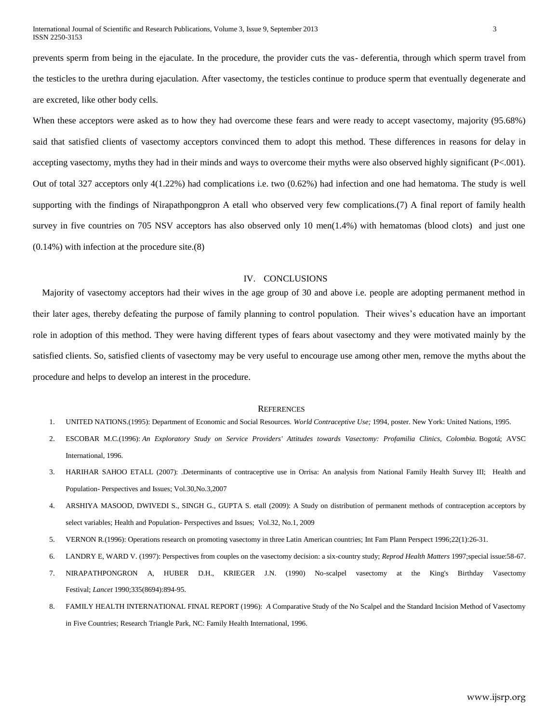prevents sperm from being in the ejaculate. In the procedure, the provider cuts the vas- deferentia, through which sperm travel from the testicles to the urethra during ejaculation. After vasectomy, the testicles continue to produce sperm that eventually degenerate and are excreted, like other body cells.

When these acceptors were asked as to how they had overcome these fears and were ready to accept vasectomy, majority (95.68%) said that satisfied clients of vasectomy acceptors convinced them to adopt this method. These differences in reasons for delay in accepting vasectomy, myths they had in their minds and ways to overcome their myths were also observed highly significant (P<.001). Out of total 327 acceptors only 4(1.22%) had complications i.e. two (0.62%) had infection and one had hematoma. The study is well supporting with the findings of Nirapathpongpron A etall who observed very few complications.(7) A final report of family health survey in five countries on 705 NSV acceptors has also observed only 10 men(1.4%) with hematomas (blood clots) and just one (0.14%) with infection at the procedure site.(8)

#### IV. CONCLUSIONS

 Majority of vasectomy acceptors had their wives in the age group of 30 and above i.e. people are adopting permanent method in their later ages, thereby defeating the purpose of family planning to control population. Their wives's education have an important role in adoption of this method. They were having different types of fears about vasectomy and they were motivated mainly by the satisfied clients. So, satisfied clients of vasectomy may be very useful to encourage use among other men, remove the myths about the procedure and helps to develop an interest in the procedure.

#### **REFERENCES**

- 1. UNITED NATIONS.(1995): Department of Economic and Social Resources. *World Contraceptive Use;* 1994, poster. New York: United Nations, 1995.
- 2. ESCOBAR M.C.(1996): *An Exploratory Study on Service Providers' Attitudes towards Vasectomy: Profamilia Clinics, Colombia.* Bogotá; AVSC International, 1996.
- 3. HARIHAR SAHOO ETALL (2007): .Determinants of contraceptive use in Orrisa: An analysis from National Family Health Survey III; Health and Population- Perspectives and Issues; Vol.30,No.3,2007
- 4. ARSHIYA MASOOD, DWIVEDI S., SINGH G., GUPTA S. etall (2009): A Study on distribution of permanent methods of contraception acceptors by select variables; Health and Population- Perspectives and Issues; Vol.32, No.1, 2009
- 5. VERNON R.(1996): Operations research on promoting vasectomy in three Latin American countries; Int Fam Plann Perspect 1996;22(1):26-31.
- 6. LANDRY E, WARD V. (1997): Perspectives from couples on the vasectomy decision: a six-country study; *Reprod Health Matters* 1997;special issue:58-67.
- 7. NIRAPATHPONGRON A, HUBER D.H., KRIEGER J.N. (1990) No-scalpel vasectomy at the King's Birthday Vasectomy Festival; *Lancet* 1990;335(8694):894-95.
- 8. FAMILY HEALTH INTERNATIONAL FINAL REPORT (1996): *A* Comparative Study of the No Scalpel and the Standard Incision Method of Vasectomy in Five Countries; Research Triangle Park, NC: Family Health International, 1996.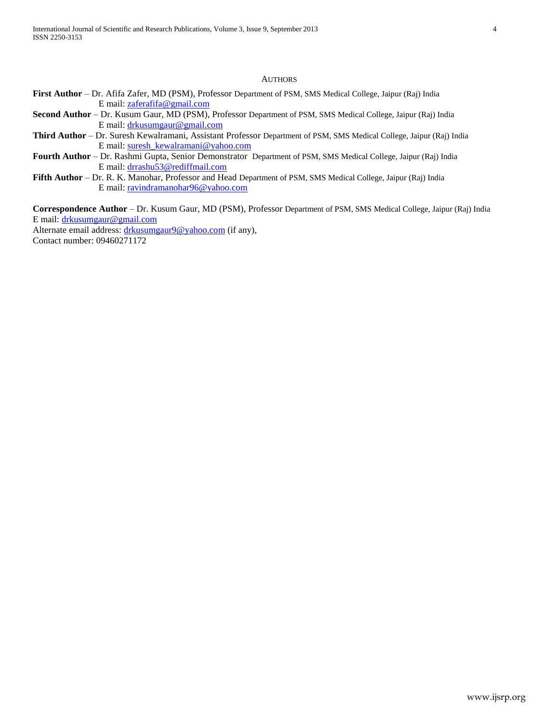## **AUTHORS**

- **First Author**  Dr. Afifa Zafer, MD (PSM), Professor Department of PSM, SMS Medical College, Jaipur (Raj) India E mail[: zaferafifa@gmail.com](mailto:zaferafifa@gmail.com)
- **Second Author**  Dr. Kusum Gaur, MD (PSM), Professor Department of PSM, SMS Medical College, Jaipur (Raj) India E mail[: drkusumgaur@gmail.com](mailto:drkusumgaur@gmail.com)
- **Third Author**  Dr. Suresh Kewalramani, Assistant Professor Department of PSM, SMS Medical College, Jaipur (Raj) India E mail[: suresh\\_kewalramani@yahoo.com](mailto:suresh_kewalramani@yahoo.com)
- **Fourth Author**  Dr. Rashmi Gupta, Senior Demonstrator Department of PSM, SMS Medical College, Jaipur (Raj) India E mail[: drrashu53@rediffmail.com](mailto:drrashu53@rediffmail.com)
- **Fifth Author**  Dr. R. K. Manohar, Professor and Head Department of PSM, SMS Medical College, Jaipur (Raj) India E mail[: ravindramanohar96@yahoo.com](mailto:ravindramanohar96@yahoo.com)

**Correspondence Author** – Dr. Kusum Gaur, MD (PSM), Professor Department of PSM, SMS Medical College, Jaipur (Raj) India E mail[: drkusumgaur@gmail.com](mailto:drkusumgaur@gmail.com)

Alternate email address[: drkusumgaur9@yahoo.com](mailto:drkusumgaur9@yahoo.com) (if any),

Contact number: 09460271172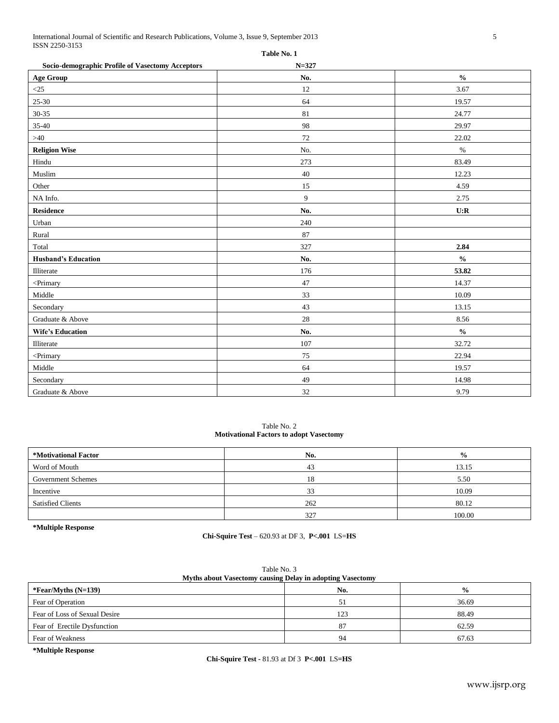International Journal of Scientific and Research Publications, Volume 3, Issue 9, September 2013 5 ISSN 2250-3153 **Table No. 1**

| 1 avit 190. 1<br>Socio-demographic Profile of Vasectomy Acceptors<br>$N = 327$       |        |                                    |  |  |
|--------------------------------------------------------------------------------------|--------|------------------------------------|--|--|
| <b>Age Group</b>                                                                     | No.    | $\mathbf{0}_{\mathbf{0}}^{\prime}$ |  |  |
| $\leq$ 25                                                                            | 12     | 3.67                               |  |  |
| $25 - 30$                                                                            | 64     | 19.57                              |  |  |
| $30 - 35$                                                                            | 81     | 24.77                              |  |  |
| 35-40                                                                                | 98     | 29.97                              |  |  |
| $>40$                                                                                | 72     | 22.02                              |  |  |
| <b>Religion Wise</b>                                                                 | No.    | $\%$                               |  |  |
| Hindu                                                                                | 273    | 83.49                              |  |  |
| Muslim                                                                               | 40     | 12.23                              |  |  |
| Other                                                                                | 15     | 4.59                               |  |  |
| NA Info.                                                                             | 9      | 2.75                               |  |  |
| Residence                                                                            | No.    | U:R                                |  |  |
| Urban                                                                                | 240    |                                    |  |  |
| Rural                                                                                | 87     |                                    |  |  |
| Total                                                                                | 327    | 2.84                               |  |  |
| <b>Husband's Education</b>                                                           | No.    | $\frac{0}{0}$                      |  |  |
| Illiterate                                                                           | 176    | 53.82                              |  |  |
| <primary< td=""><td>47</td><td>14.37</td></primary<>                                 | 47     | 14.37                              |  |  |
| Middle                                                                               | 33     | 10.09                              |  |  |
| Secondary                                                                            | 43     | 13.15                              |  |  |
| Graduate & Above                                                                     | $28\,$ | 8.56                               |  |  |
| <b>Wife's Education</b>                                                              | No.    | $\mathbf{0}_{\mathbf{0}}^{\prime}$ |  |  |
| Illiterate                                                                           | 107    | 32.72                              |  |  |
| <primary< td=""><td><math display="inline">75\,</math></td><td>22.94</td></primary<> | $75\,$ | 22.94                              |  |  |
| Middle                                                                               | 64     | 19.57                              |  |  |
| Secondary                                                                            | 49     | 14.98                              |  |  |
| Graduate & Above                                                                     | 32     | 9.79                               |  |  |

Table No. 2 **Motivational Factors to adopt Vasectomy**

| *Motivational Factor      | No. | $\frac{0}{0}$ |
|---------------------------|-----|---------------|
| Word of Mouth             | 43  | 13.15         |
| <b>Government Schemes</b> | 18  | 5.50          |
| Incentive                 | 33  | 10.09         |
| <b>Satisfied Clients</b>  | 262 | 80.12         |
|                           | 327 | 100.00        |

**\*Multiple Response**

**Chi-Squire Test** – 620.93 at DF 3, **P<.001** LS=**HS**

| Table No. 3<br>Myths about Vasectomy causing Delay in adopting Vasectomy |     |               |  |
|--------------------------------------------------------------------------|-----|---------------|--|
| *Fear/Myths $(N=139)$                                                    | No. | $\frac{0}{0}$ |  |
| Fear of Operation                                                        |     | 36.69         |  |
| Fear of Loss of Sexual Desire                                            | 123 | 88.49         |  |
| Fear of Erectile Dysfunction                                             | 87  | 62.59         |  |
| Fear of Weakness                                                         | 94  | 67.63         |  |
|                                                                          |     |               |  |

Table No. 3

**\*Multiple Response**

**Chi-Squire Test -** 81.93 at Df 3 **P<.001** LS**=HS**